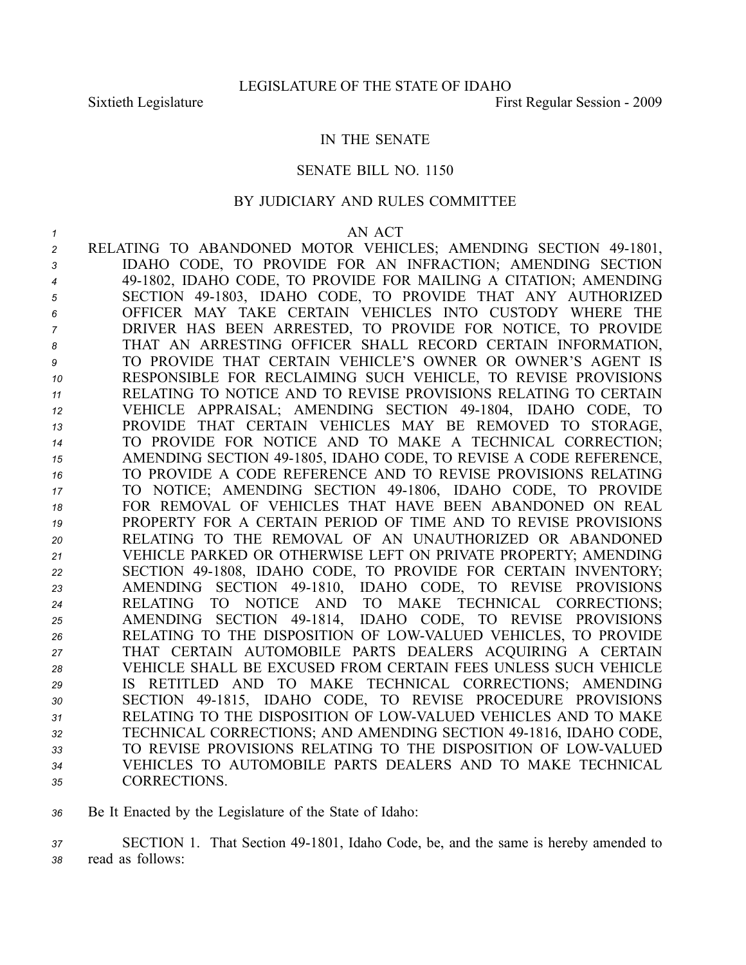## IN THE SENATE

### SENATE BILL NO. 1150

## BY JUDICIARY AND RULES COMMITTEE

#### *1* AN ACT

2 RELATING TO ABANDONED MOTOR VEHICLES; AMENDING SECTION 49-1801, IDAHO CODE, TO PROVIDE FOR AN INFRACTION; AMENDING SECTION 491802, IDAHO CODE, TO PROVIDE FOR MAILING A CITATION; AMENDING SECTION 491803, IDAHO CODE, TO PROVIDE THAT ANY AUTHORIZED OFFICER MAY TAKE CERTAIN VEHICLES INTO CUSTODY WHERE THE DRIVER HAS BEEN ARRESTED, TO PROVIDE FOR NOTICE, TO PROVIDE THAT AN ARRESTING OFFICER SHALL RECORD CERTAIN INFORMATION, TO PROVIDE THAT CERTAIN VEHICLE'S OWNER OR OWNER'S AGENT IS RESPONSIBLE FOR RECLAIMING SUCH VEHICLE, TO REVISE PROVISIONS RELATING TO NOTICE AND TO REVISE PROVISIONS RELATING TO CERTAIN VEHICLE APPRAISAL; AMENDING SECTION 491804, IDAHO CODE, TO PROVIDE THAT CERTAIN VEHICLES MAY BE REMOVED TO STORAGE, TO PROVIDE FOR NOTICE AND TO MAKE A TECHNICAL CORRECTION; AMENDING SECTION 491805, IDAHO CODE, TO REVISE A CODE REFERENCE, TO PROVIDE A CODE REFERENCE AND TO REVISE PROVISIONS RELATING TO NOTICE; AMENDING SECTION 491806, IDAHO CODE, TO PROVIDE FOR REMOVAL OF VEHICLES THAT HAVE BEEN ABANDONED ON REAL PROPERTY FOR A CERTAIN PERIOD OF TIME AND TO REVISE PROVISIONS RELATING TO THE REMOVAL OF AN UNAUTHORIZED OR ABANDONED VEHICLE PARKED OR OTHERWISE LEFT ON PRIVATE PROPERTY; AMENDING SECTION 491808, IDAHO CODE, TO PROVIDE FOR CERTAIN INVENTORY; AMENDING SECTION 491810, IDAHO CODE, TO REVISE PROVISIONS RELATING TO NOTICE AND TO MAKE TECHNICAL CORRECTIONS; AMENDING SECTION 491814, IDAHO CODE, TO REVISE PROVISIONS 26 RELATING TO THE DISPOSITION OF LOW-VALUED VEHICLES, TO PROVIDE THAT CERTAIN AUTOMOBILE PARTS DEALERS ACQUIRING A CERTAIN VEHICLE SHALL BE EXCUSED FROM CERTAIN FEES UNLESS SUCH VEHICLE IS RETITLED AND TO MAKE TECHNICAL CORRECTIONS; AMENDING 30 SECTION 49-1815, IDAHO CODE, TO REVISE PROCEDURE PROVISIONS 31 RELATING TO THE DISPOSITION OF LOW-VALUED VEHICLES AND TO MAKE TECHNICAL CORRECTIONS; AND AMENDING SECTION 491816, IDAHO CODE, 33 TO REVISE PROVISIONS RELATING TO THE DISPOSITION OF LOW-VALUED VEHICLES TO AUTOMOBILE PARTS DEALERS AND TO MAKE TECHNICAL CORRECTIONS.

*<sup>36</sup>* Be It Enacted by the Legislature of the State of Idaho:

*<sup>37</sup>* SECTION 1. That Section 491801, Idaho Code, be, and the same is hereby amended to *<sup>38</sup>* read as follows: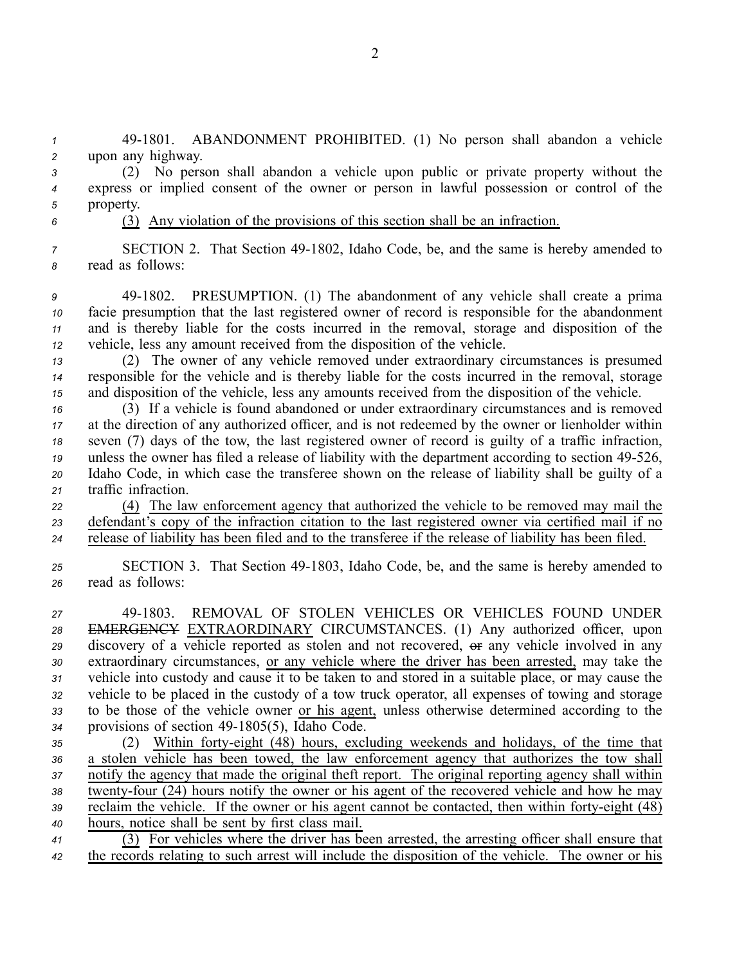*<sup>1</sup>* 491801. ABANDONMENT PROHIBITED. (1) No person shall abandon <sup>a</sup> vehicle *<sup>2</sup>* upon any highway.

*<sup>3</sup>* (2) No person shall abandon <sup>a</sup> vehicle upon public or private property without the *<sup>4</sup>* express or implied consent of the owner or person in lawful possession or control of the *<sup>5</sup>* property.

# *<sup>6</sup>* (3) Any violation of the provisions of this section shall be an infraction.

*7* SECTION 2. That Section 49-1802, Idaho Code, be, and the same is hereby amended to *<sup>8</sup>* read as follows:

 491802. PRESUMPTION. (1) The abandonment of any vehicle shall create <sup>a</sup> prima facie presumption that the last registered owner of record is responsible for the abandonment and is thereby liable for the costs incurred in the removal, storage and disposition of the vehicle, less any amount received from the disposition of the vehicle.

*<sup>13</sup>* (2) The owner of any vehicle removed under extraordinary circumstances is presumed *<sup>14</sup>* responsible for the vehicle and is thereby liable for the costs incurred in the removal, storage *<sup>15</sup>* and disposition of the vehicle, less any amounts received from the disposition of the vehicle.

 (3) If <sup>a</sup> vehicle is found abandoned or under extraordinary circumstances and is removed at the direction of any authorized officer, and is not redeemed by the owner or lienholder within seven (7) days of the tow, the last registered owner of record is guilty of <sup>a</sup> traffic infraction, 19 unless the owner has filed a release of liability with the department according to section 49-526, Idaho Code, in which case the transferee shown on the release of liability shall be guilty of <sup>a</sup> traffic infraction.

*<sup>22</sup>* (4) The law enforcement agency that authorized the vehicle to be removed may mail the *<sup>23</sup>* defendant's copy of the infraction citation to the last registered owner via certified mail if no *<sup>24</sup>* release of liability has been filed and to the transferee if the release of liability has been filed.

*<sup>25</sup>* SECTION 3. That Section 491803, Idaho Code, be, and the same is hereby amended to *<sup>26</sup>* read as follows:

 491803. REMOVAL OF STOLEN VEHICLES OR VEHICLES FOUND UNDER EMERGENCY EXTRAORDINARY CIRCUMSTANCES. (1) Any authorized officer, upon 29 discovery of a vehicle reported as stolen and not recovered,  $\theta$  any vehicle involved in any extraordinary circumstances, or any vehicle where the driver has been arrested, may take the vehicle into custody and cause it to be taken to and stored in <sup>a</sup> suitable place, or may cause the vehicle to be placed in the custody of <sup>a</sup> tow truck operator, all expenses of towing and storage to be those of the vehicle owner or his agent, unless otherwise determined according to the 34 provisions of section 49-1805(5), Idaho Code.

 (2) Within fortyeight (48) hours, excluding weekends and holidays, of the time that <sup>a</sup> stolen vehicle has been towed, the law enforcement agency that authorizes the tow shall notify the agency that made the original theft report. The original reporting agency shall within 38 twenty-four (24) hours notify the owner or his agent of the recovered vehicle and how he may reclaim the vehicle. If the owner or his agent cannot be contacted, then within forty-eight (48) hours, notice shall be sent by first class mail.

*<sup>41</sup>* (3) For vehicles where the driver has been arrested, the arresting officer shall ensure that *<sup>42</sup>* the records relating to such arrest will include the disposition of the vehicle. The owner or his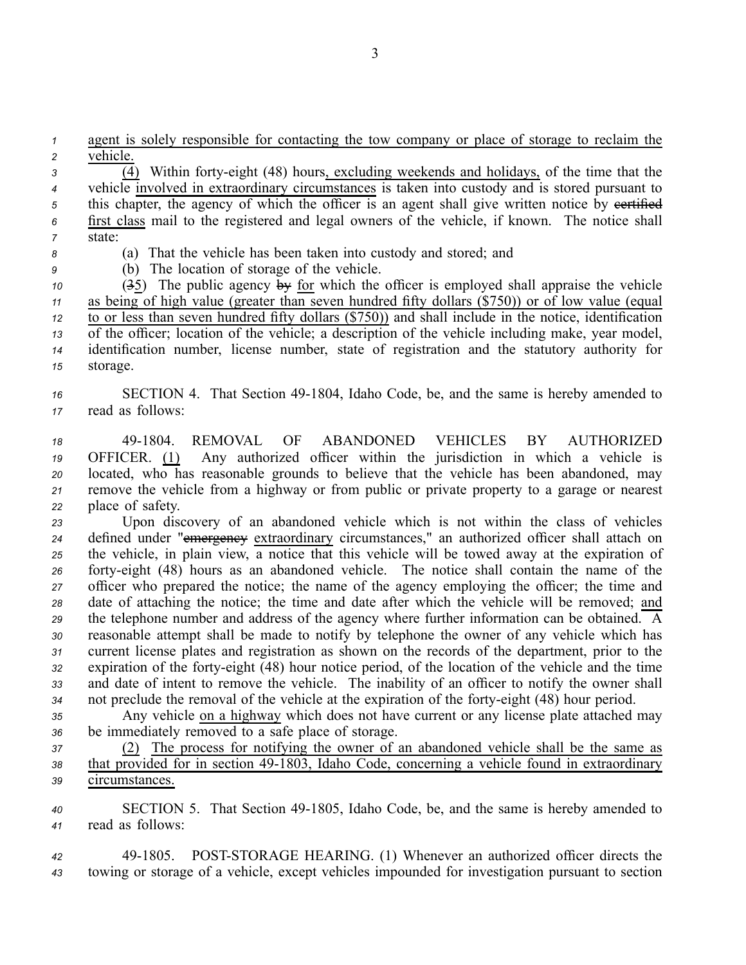*<sup>1</sup>* agen<sup>t</sup> is solely responsible for contacting the tow company or place of storage to reclaim the *<sup>2</sup>* vehicle.

*<sup>3</sup>* (4) Within fortyeight (48) hours, excluding weekends and holidays, of the time that the *<sup>4</sup>* vehicle involved in extraordinary circumstances is taken into custody and is stored pursuan<sup>t</sup> to 5 this chapter, the agency of which the officer is an agent shall give written notice by eertified *<sup>6</sup>* first class mail to the registered and legal owners of the vehicle, if known. The notice shall *7* state:

*<sup>8</sup>* (a) That the vehicle has been taken into custody and stored; and

*<sup>9</sup>* (b) The location of storage of the vehicle.

 (35) The public agency by for which the officer is employed shall appraise the vehicle as being of high value (greater than seven hundred fifty dollars (\$750)) or of low value (equal to or less than seven hundred fifty dollars (\$750)) and shall include in the notice, identification of the officer; location of the vehicle; <sup>a</sup> description of the vehicle including make, year model, identification number, license number, state of registration and the statutory authority for *<sup>15</sup>* storage.

# 16 SECTION 4. That Section 49-1804, Idaho Code, be, and the same is hereby amended to *<sup>17</sup>* read as follows:

 491804. REMOVAL OF ABANDONED VEHICLES BY AUTHORIZED OFFICER. (1) Any authorized officer within the jurisdiction in which <sup>a</sup> vehicle is located, who has reasonable grounds to believe that the vehicle has been abandoned, may remove the vehicle from <sup>a</sup> highway or from public or private property to <sup>a</sup> garage or nearest place of safety.

 Upon discovery of an abandoned vehicle which is not within the class of vehicles 24 defined under "emergency extraordinary circumstances," an authorized officer shall attach on the vehicle, in plain view, <sup>a</sup> notice that this vehicle will be towed away at the expiration of fortyeight (48) hours as an abandoned vehicle. The notice shall contain the name of the officer who prepared the notice; the name of the agency employing the officer; the time and date of attaching the notice; the time and date after which the vehicle will be removed; and the telephone number and address of the agency where further information can be obtained. A reasonable attempt shall be made to notify by telephone the owner of any vehicle which has current license plates and registration as shown on the records of the department, prior to the expiration of the fortyeight (48) hour notice period, of the location of the vehicle and the time and date of intent to remove the vehicle. The inability of an officer to notify the owner shall not preclude the removal of the vehicle at the expiration of the fortyeight (48) hour period.

*<sup>35</sup>* Any vehicle on <sup>a</sup> highway which does not have current or any license plate attached may *<sup>36</sup>* be immediately removed to <sup>a</sup> safe place of storage.

*<sup>37</sup>* (2) The process for notifying the owner of an abandoned vehicle shall be the same as 38 that provided for in section 49-1803, Idaho Code, concerning a vehicle found in extraordinary *<sup>39</sup>* circumstances.

40 SECTION 5. That Section 49-1805, Idaho Code, be, and the same is hereby amended to *<sup>41</sup>* read as follows:

*<sup>42</sup>* 491805. POSTSTORAGE HEARING. (1) Whenever an authorized officer directs the *<sup>43</sup>* towing or storage of <sup>a</sup> vehicle, excep<sup>t</sup> vehicles impounded for investigation pursuan<sup>t</sup> to section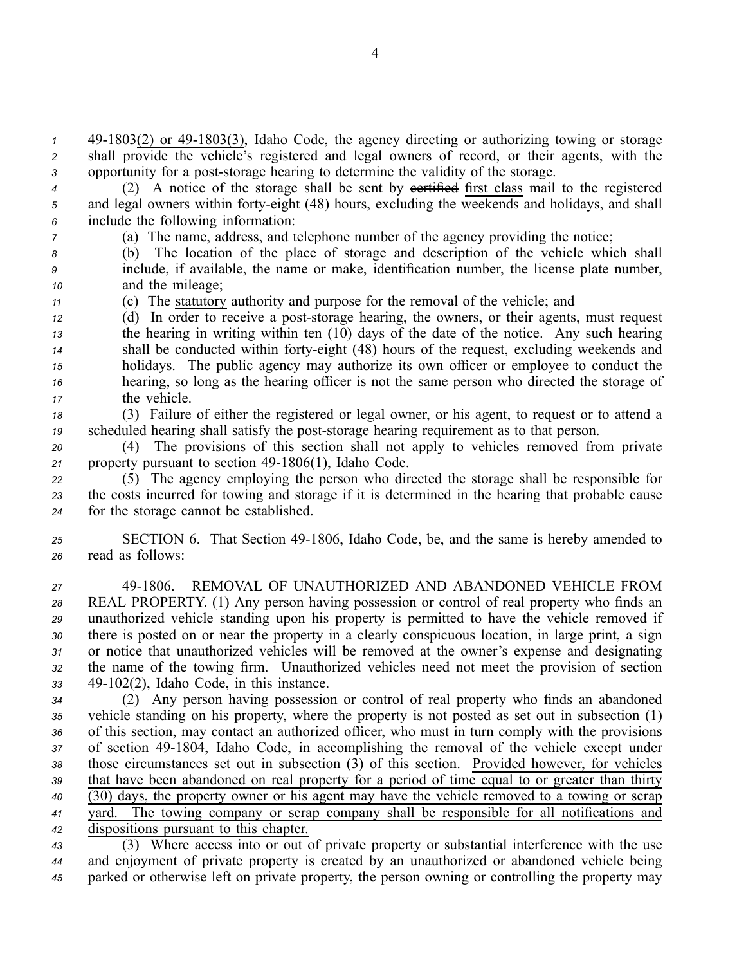1 49-1803(2) or 49-1803(3), Idaho Code, the agency directing or authorizing towing or storage *<sup>2</sup>* shall provide the vehicle's registered and legal owners of record, or their agents, with the 3 opportunity for a post-storage hearing to determine the validity of the storage.

4 (2) A notice of the storage shall be sent by evertified first class mail to the registered *<sup>5</sup>* and legal owners within fortyeight (48) hours, excluding the weekends and holidays, and shall *<sup>6</sup>* include the following information:

*<sup>7</sup>* (a) The name, address, and telephone number of the agency providing the notice;

*<sup>8</sup>* (b) The location of the place of storage and description of the vehicle which shall *<sup>9</sup>* include, if available, the name or make, identification number, the license plate number, *<sup>10</sup>* and the mileage;

*<sup>11</sup>* (c) The statutory authority and purpose for the removal of the vehicle; and

 (d) In order to receive a post-storage hearing, the owners, or their agents, must request the hearing in writing within ten (10) days of the date of the notice. Any such hearing 14 shall be conducted within forty-eight (48) hours of the request, excluding weekends and holidays. The public agency may authorize its own officer or employee to conduct the hearing, so long as the hearing officer is not the same person who directed the storage of the vehicle.

*<sup>18</sup>* (3) Failure of either the registered or legal owner, or his agent, to reques<sup>t</sup> or to attend <sup>a</sup> 19 scheduled hearing shall satisfy the post-storage hearing requirement as to that person.

*<sup>20</sup>* (4) The provisions of this section shall not apply to vehicles removed from private 21 property pursuant to section 49-1806(1), Idaho Code.

*<sup>22</sup>* (5) The agency employing the person who directed the storage shall be responsible for *<sup>23</sup>* the costs incurred for towing and storage if it is determined in the hearing that probable cause *<sup>24</sup>* for the storage cannot be established.

*<sup>25</sup>* SECTION 6. That Section 491806, Idaho Code, be, and the same is hereby amended to *<sup>26</sup>* read as follows:

 491806. REMOVAL OF UNAUTHORIZED AND ABANDONED VEHICLE FROM REAL PROPERTY. (1) Any person having possession or control of real property who finds an unauthorized vehicle standing upon his property is permitted to have the vehicle removed if there is posted on or near the property in <sup>a</sup> clearly conspicuous location, in large print, <sup>a</sup> sign or notice that unauthorized vehicles will be removed at the owner's expense and designating the name of the towing firm. Unauthorized vehicles need not meet the provision of section 49102(2), Idaho Code, in this instance.

 (2) Any person having possession or control of real property who finds an abandoned vehicle standing on his property, where the property is not posted as set out in subsection (1) of this section, may contact an authorized officer, who must in turn comply with the provisions 37 of section 49-1804, Idaho Code, in accomplishing the removal of the vehicle except under those circumstances set out in subsection (3) of this section. Provided however, for vehicles that have been abandoned on real property for <sup>a</sup> period of time equal to or greater than thirty (30) days, the property owner or his agen<sup>t</sup> may have the vehicle removed to <sup>a</sup> towing or scrap yard. The towing company or scrap company shall be responsible for all notifications and dispositions pursuan<sup>t</sup> to this chapter.

*<sup>43</sup>* (3) Where access into or out of private property or substantial interference with the use *<sup>44</sup>* and enjoyment of private property is created by an unauthorized or abandoned vehicle being *<sup>45</sup>* parked or otherwise left on private property, the person owning or controlling the property may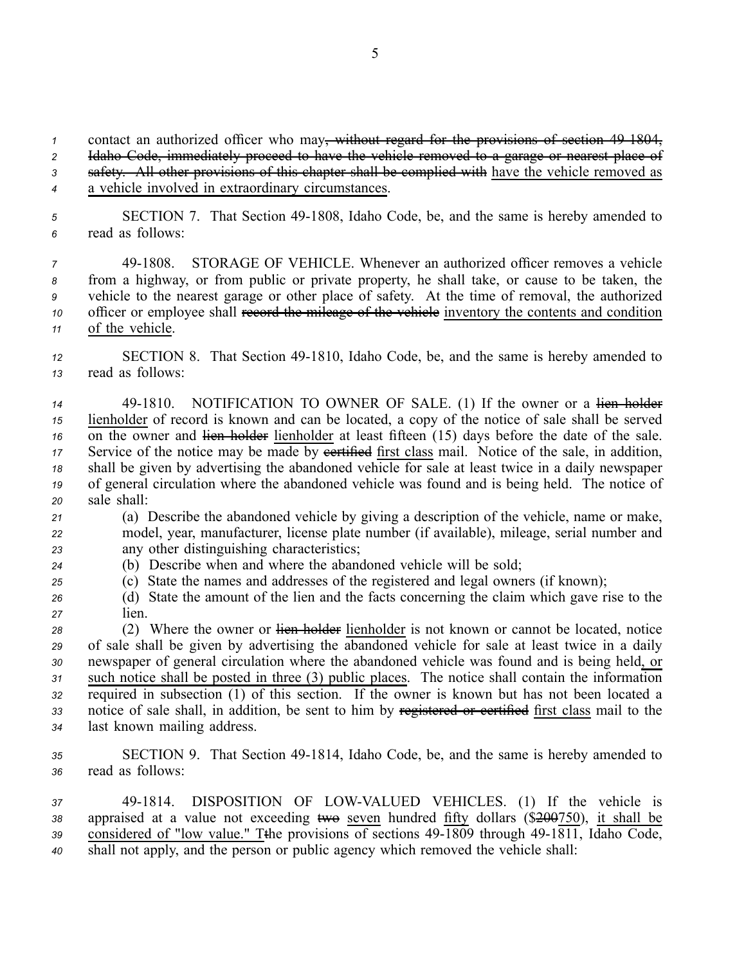*<sup>1</sup>* contact an authorized officer who may, without regard for the provisions of section 491804,

*<sup>2</sup>* Idaho Code, immediately proceed to have the vehicle removed to <sup>a</sup> garage or nearest place of

*<sup>3</sup>* safety. All other provisions of this chapter shall be complied with have the vehicle removed as

*<sup>4</sup>* <sup>a</sup> vehicle involved in extraordinary circumstances.

5 **SECTION 7.** That Section 49-1808, Idaho Code, be, and the same is hereby amended to *<sup>6</sup>* read as follows:

 491808. STORAGE OF VEHICLE. Whenever an authorized officer removes <sup>a</sup> vehicle from <sup>a</sup> highway, or from public or private property, he shall take, or cause to be taken, the vehicle to the nearest garage or other place of safety. At the time of removal, the authorized officer or employee shall record the mileage of the vehicle inventory the contents and condition of the vehicle.

*<sup>12</sup>* SECTION 8. That Section 491810, Idaho Code, be, and the same is hereby amended to *<sup>13</sup>* read as follows:

14 49-1810. NOTIFICATION TO OWNER OF SALE. (1) If the owner or a lien holder *<sup>15</sup>* lienholder of record is known and can be located, <sup>a</sup> copy of the notice of sale shall be served <sup>16</sup> on the owner and lien holder lienholder at least fifteen (15) days before the date of the sale. 17 Service of the notice may be made by eertified first class mail. Notice of the sale, in addition, *<sup>18</sup>* shall be given by advertising the abandoned vehicle for sale at least twice in <sup>a</sup> daily newspaper *<sup>19</sup>* of general circulation where the abandoned vehicle was found and is being held. The notice of *<sup>20</sup>* sale shall:

*<sup>21</sup>* (a) Describe the abandoned vehicle by giving <sup>a</sup> description of the vehicle, name or make, *<sup>22</sup>* model, year, manufacturer, license plate number (if available), mileage, serial number and *<sup>23</sup>* any other distinguishing characteristics;

*<sup>24</sup>* (b) Describe when and where the abandoned vehicle will be sold;

*<sup>25</sup>* (c) State the names and addresses of the registered and legal owners (if known);

*<sup>26</sup>* (d) State the amount of the lien and the facts concerning the claim which gave rise to the *<sup>27</sup>* lien.

 (2) Where the owner or lien holder lienholder is not known or cannot be located, notice of sale shall be given by advertising the abandoned vehicle for sale at least twice in <sup>a</sup> daily newspaper of general circulation where the abandoned vehicle was found and is being held, or such notice shall be posted in three (3) public places. The notice shall contain the information required in subsection (1) of this section. If the owner is known but has not been located <sup>a</sup> notice of sale shall, in addition, be sent to him by registered or certified first class mail to the last known mailing address.

35 SECTION 9. That Section 49-1814, Idaho Code, be, and the same is hereby amended to *<sup>36</sup>* read as follows:

37 49-1814. DISPOSITION OF LOW-VALUED VEHICLES. (1) If the vehicle is 38 appraised at a value not exceeding two seven hundred fifty dollars (\$200750), it shall be 39 considered of "low value." Tthe provisions of sections 49-1809 through 49-1811, Idaho Code, *<sup>40</sup>* shall not apply, and the person or public agency which removed the vehicle shall: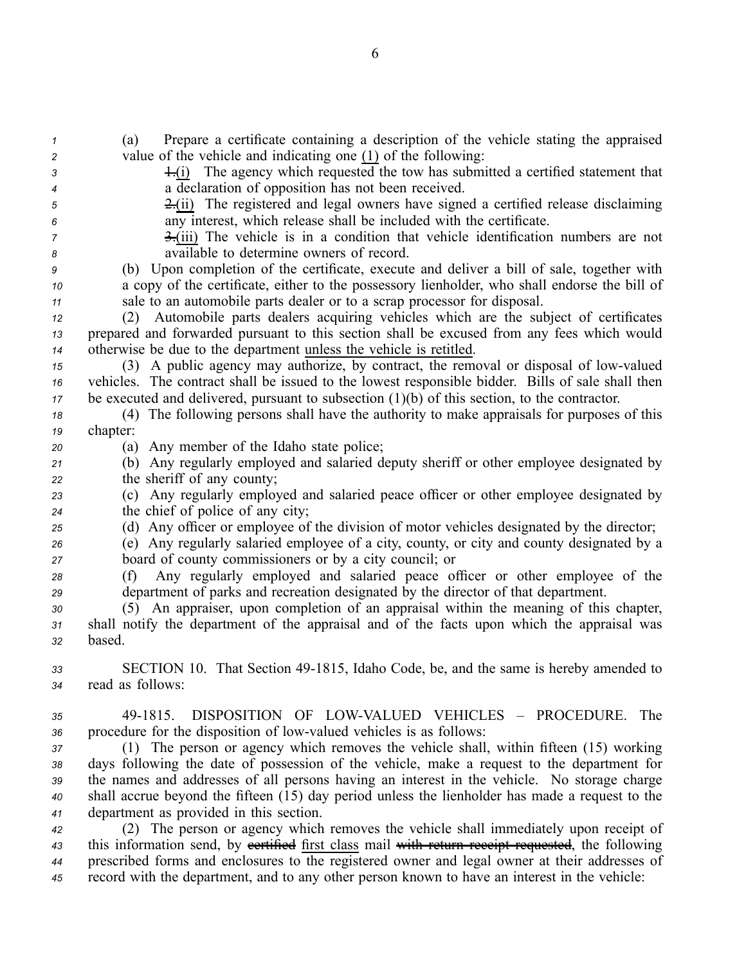| $\mathbf{1}$   | Prepare a certificate containing a description of the vehicle stating the appraised<br>(a)                                                          |
|----------------|-----------------------------------------------------------------------------------------------------------------------------------------------------|
| $\overline{c}$ | value of the vehicle and indicating one (1) of the following:                                                                                       |
| 3              | $\overline{f}$ The agency which requested the tow has submitted a certified statement that                                                          |
| 4              | a declaration of opposition has not been received.                                                                                                  |
| 5              | $\frac{2 \cdot (ii)}{ii}$ The registered and legal owners have signed a certified release disclaiming                                               |
| 6              | any interest, which release shall be included with the certificate.                                                                                 |
| 7              | $\frac{3}{2}$ The vehicle is in a condition that vehicle identification numbers are not                                                             |
| 8              | available to determine owners of record.                                                                                                            |
| 9              | (b) Upon completion of the certificate, execute and deliver a bill of sale, together with                                                           |
| 10             | a copy of the certificate, either to the possessory lienholder, who shall endorse the bill of                                                       |
| 11             | sale to an automobile parts dealer or to a scrap processor for disposal.                                                                            |
| 12             | Automobile parts dealers acquiring vehicles which are the subject of certificates<br>(2)                                                            |
| 13             | prepared and forwarded pursuant to this section shall be excused from any fees which would                                                          |
| 14             | otherwise be due to the department unless the vehicle is retitled.                                                                                  |
| 15             | (3) A public agency may authorize, by contract, the removal or disposal of low-valued                                                               |
| 16             | vehicles. The contract shall be issued to the lowest responsible bidder. Bills of sale shall then                                                   |
| 17             | be executed and delivered, pursuant to subsection $(1)(b)$ of this section, to the contractor.                                                      |
| 18             | (4) The following persons shall have the authority to make appraisals for purposes of this                                                          |
| 19             | chapter:                                                                                                                                            |
| 20             | (a) Any member of the Idaho state police;                                                                                                           |
| 21             | (b) Any regularly employed and salaried deputy sheriff or other employee designated by                                                              |
| 22             | the sheriff of any county;                                                                                                                          |
| 23             | (c) Any regularly employed and salaried peace officer or other employee designated by                                                               |
| 24             | the chief of police of any city;                                                                                                                    |
| 25             | (d) Any officer or employee of the division of motor vehicles designated by the director;                                                           |
| 26             | (e) Any regularly salaried employee of a city, county, or city and county designated by a<br>board of county commissioners or by a city council; or |
| 27             |                                                                                                                                                     |
| 28             | Any regularly employed and salaried peace officer or other employee of the<br>(f)                                                                   |
| 29             | department of parks and recreation designated by the director of that department.                                                                   |
| 30             | (5) An appraiser, upon completion of an appraisal within the meaning of this chapter,                                                               |
| 31             | shall notify the department of the appraisal and of the facts upon which the appraisal was<br>based.                                                |
| 32             |                                                                                                                                                     |
| 33             | SECTION 10. That Section 49-1815, Idaho Code, be, and the same is hereby amended to                                                                 |
| 34             | read as follows:                                                                                                                                    |
|                |                                                                                                                                                     |
| 35             | DISPOSITION OF LOW-VALUED VEHICLES - PROCEDURE. The<br>49-1815.                                                                                     |
| 36             | procedure for the disposition of low-valued vehicles is as follows:                                                                                 |
| 37             | (1) The person or agency which removes the vehicle shall, within fifteen (15) working                                                               |
| 38             | days following the date of possession of the vehicle, make a request to the department for                                                          |
| 39             | the names and addresses of all persons having an interest in the vehicle. No storage charge                                                         |
| 40             | shall accrue beyond the fifteen (15) day period unless the lienholder has made a request to the                                                     |
| 41             | department as provided in this section.                                                                                                             |
| 42             | (2) The person or agency which removes the vehicle shall immediately upon receipt of                                                                |
| 43             | this information send, by eertified first class mail with return receipt requested, the following                                                   |
| 44             | prescribed forms and enclosures to the registered owner and legal owner at their addresses of                                                       |
| 45             | record with the department, and to any other person known to have an interest in the vehicle:                                                       |

6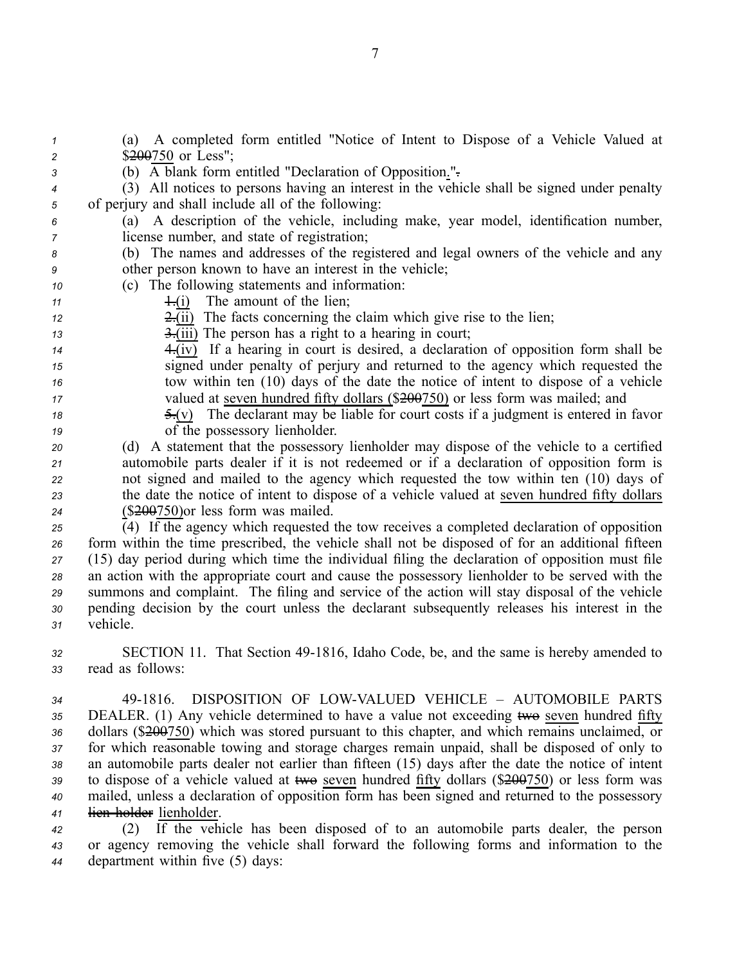| $\mathbf{1}$     | A completed form entitled "Notice of Intent to Dispose of a Vehicle Valued at<br>(a)            |
|------------------|-------------------------------------------------------------------------------------------------|
| $\overline{c}$   | \$200750 or Less";                                                                              |
| $\sqrt{3}$       | (b) A blank form entitled "Declaration of Opposition.".                                         |
| $\boldsymbol{4}$ | (3) All notices to persons having an interest in the vehicle shall be signed under penalty      |
| 5                | of perjury and shall include all of the following:                                              |
| 6                | A description of the vehicle, including make, year model, identification number,<br>(a)         |
| $\overline{7}$   | license number, and state of registration;                                                      |
| 8                | (b) The names and addresses of the registered and legal owners of the vehicle and any           |
| 9                | other person known to have an interest in the vehicle;                                          |
| 10               | (c) The following statements and information:                                                   |
| 11               | The amount of the lien;<br>$\pm(i)$                                                             |
| 12               | $\frac{2 \cdot (ii)}{i}$ The facts concerning the claim which give rise to the lien;            |
| 13               | $\frac{3}{2}$ (iii) The person has a right to a hearing in court;                               |
| 14               | $\overline{4.(iv)}$ If a hearing in court is desired, a declaration of opposition form shall be |
| 15               | signed under penalty of perjury and returned to the agency which requested the                  |
| 16               | tow within ten (10) days of the date the notice of intent to dispose of a vehicle               |
| 17               | valued at seven hundred fifty dollars (\$200750) or less form was mailed; and                   |
| 18               | $\frac{5}{2}(y)$ The declarant may be liable for court costs if a judgment is entered in favor  |
| 19               | of the possessory lienholder.                                                                   |
| 20               | (d) A statement that the possessory lienholder may dispose of the vehicle to a certified        |
| 21               | automobile parts dealer if it is not redeemed or if a declaration of opposition form is         |
| 22               | not signed and mailed to the agency which requested the tow within ten (10) days of             |
| 23               | the date the notice of intent to dispose of a vehicle valued at seven hundred fifty dollars     |
| 24               | $($200750)$ or less form was mailed.                                                            |
| 25               | (4) If the agency which requested the tow receives a completed declaration of opposition        |
| 26               | form within the time prescribed, the vehicle shall not be disposed of for an additional fifteen |
| 27               | (15) day period during which time the individual filing the declaration of opposition must file |
| 28               | an action with the appropriate court and cause the possessory lienholder to be served with the  |
| 29               | summons and complaint. The filing and service of the action will stay disposal of the vehicle   |
| 30               | pending decision by the court unless the declarant subsequently releases his interest in the    |
| 31               | vehicle.                                                                                        |

32 SECTION 11. That Section 49-1816, Idaho Code, be, and the same is hereby amended to *<sup>33</sup>* read as follows:

34 49-1816. DISPOSITION OF LOW-VALUED VEHICLE – AUTOMOBILE PARTS 35 DEALER. (1) Any vehicle determined to have a value not exceeding two seven hundred fifty dollars (\$200750) which was stored pursuan<sup>t</sup> to this chapter, and which remains unclaimed, or for which reasonable towing and storage charges remain unpaid, shall be disposed of only to an automobile parts dealer not earlier than fifteen (15) days after the date the notice of intent 39 to dispose of a vehicle valued at  $\overline{two}$  seven hundred fifty dollars (\$200750) or less form was mailed, unless <sup>a</sup> declaration of opposition form has been signed and returned to the possessory lien holder lienholder.

*<sup>42</sup>* (2) If the vehicle has been disposed of to an automobile parts dealer, the person *<sup>43</sup>* or agency removing the vehicle shall forward the following forms and information to the *<sup>44</sup>* department within five (5) days: